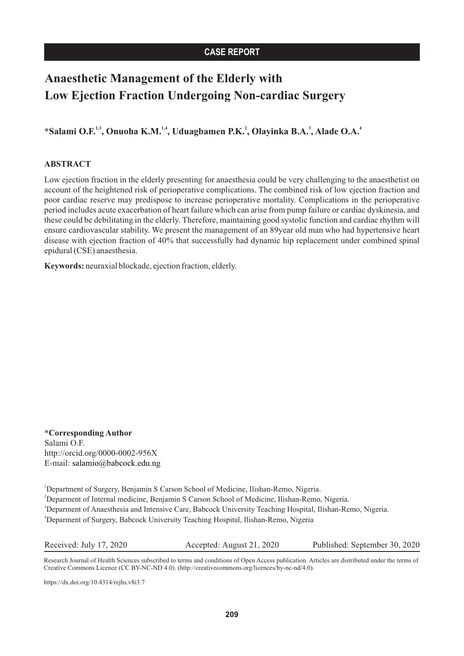## **CASE REPORT**

# **Anaesthetic Management of the Elderly with Low Ejection Fraction Undergoing Non-cardiac Surgery**

**1,3 1,4 2 3 4 \*Salami O.F. , Onuoha K.M. , Uduagbamen P.K. , Olayinka B.A. , Alade O.A.**

### **ABSTRACT**

Low ejection fraction in the elderly presenting for anaesthesia could be very challenging to the anaesthetist on account of the heightened risk of perioperative complications. The combined risk of low ejection fraction and poor cardiac reserve may predispose to increase perioperative mortality. Complications in the perioperative period includes acute exacerbation of heart failure which can arise from pump failure or cardiac dyskinesia, and these could be debilitating in the elderly. Therefore, maintaining good systolic function and cardiac rhythm will ensure cardiovascular stability. We present the management of an 89year old man who had hypertensive heart disease with ejection fraction of 40% that successfully had dynamic hip replacement under combined spinal epidural (CSE) anaesthesia.

**Keywords:** neuraxial blockade, ejection fraction, elderly.

**\* Corresponding Author** http://orcid.org/0000-0002-956X E-mail: salamio@babcock.edu.ng Salami O.F.

<sup>1</sup>Department of Surgery, Benjamin S Carson School of Medicine, Ilishan-Remo, Nigeria. <sup>2</sup>Deparment of Internal medicine, Benjamin S Carson School of Medicine, Ilishan-Remo, Nigeria. <sup>3</sup>Deparment of Anaesthesia and Intensive Care, Babcock University Teaching Hospital, Ilishan-Remo, Nigeria. <sup>4</sup>Deparment of Surgery, Babcock University Teaching Hospital, Ilishan-Remo, Nigeria

Received: July 17, 2020 Accepted: August 21, 2020 Published: September 30, 2020

Research Journal of Health Sciences subscribed to terms and conditions of Open Access publication. Articles are distributed under the terms of Creative Commons Licence (CC BY-NC-ND 4.0). (http://creativecommons.org/licences/by-nc-nd/4.0).

https://dx.doi.org/10.4314/rejhs.v8i3.7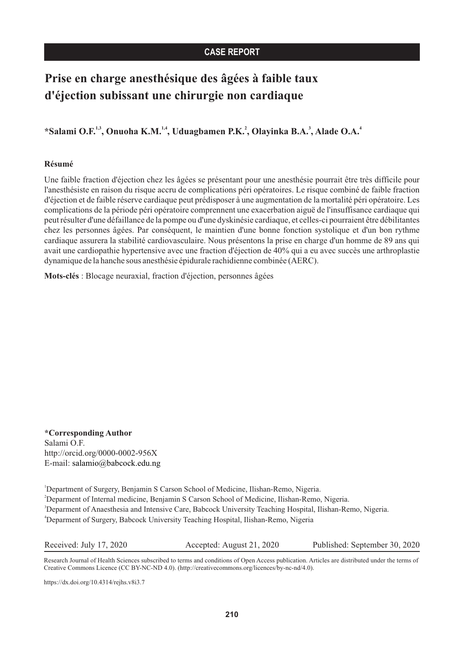## **CASE REPORT**

# **Prise en charge anesthésique des âgées à faible taux d'éjection subissant une chirurgie non cardiaque**

**1,3 1,4 2 3 4 \*Salami O.F. , Onuoha K.M. , Uduagbamen P.K. , Olayinka B.A. , Alade O.A.**

### **Résumé**

Une faible fraction d'éjection chez les âgées se présentant pour une anesthésie pourrait être très difficile pour l'anesthésiste en raison du risque accru de complications péri opératoires. Le risque combiné de faible fraction d'éjection et de faible réserve cardiaque peut prédisposer à une augmentation de la mortalité péri opératoire. Les complications de la période péri opératoire comprennent une exacerbation aiguë de l'insuffisance cardiaque qui peut résulter d'une défaillance de la pompe ou d'une dyskinésie cardiaque, et celles-ci pourraient être débilitantes chez les personnes âgées. Par conséquent, le maintien d'une bonne fonction systolique et d'un bon rythme cardiaque assurera la stabilité cardiovasculaire. Nous présentons la prise en charge d'un homme de 89 ans qui avait une cardiopathie hypertensive avec une fraction d'éjection de 40% qui a eu avec succès une arthroplastie dynamique de la hanche sous anesthésie épidurale rachidienne combinée (AERC).

**Mots-clés** : Blocage neuraxial, fraction d'éjection, personnes âgées

**\* Corresponding Author** http://orcid.org/0000-0002-956X E-mail: salamio@babcock.edu.ng Salami O.F.

<sup>1</sup>Department of Surgery, Benjamin S Carson School of Medicine, Ilishan-Remo, Nigeria. <sup>2</sup>Deparment of Internal medicine, Benjamin S Carson School of Medicine, Ilishan-Remo, Nigeria. <sup>3</sup>Deparment of Anaesthesia and Intensive Care, Babcock University Teaching Hospital, Ilishan-Remo, Nigeria. <sup>4</sup>Deparment of Surgery, Babcock University Teaching Hospital, Ilishan-Remo, Nigeria

Received: July 17, 2020 Accepted: August 21, 2020 Published: September 30, 2020

Research Journal of Health Sciences subscribed to terms and conditions of Open Access publication. Articles are distributed under the terms of Creative Commons Licence (CC BY-NC-ND 4.0). (http://creativecommons.org/licences/by-nc-nd/4.0).

https://dx.doi.org/10.4314/rejhs.v8i3.7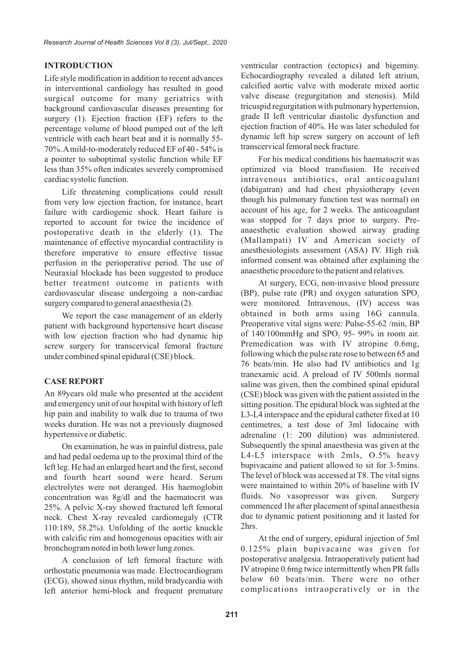in interventional cardiology has resulted in good<br>surgical outcome for many geriatrics with valve disease (regurgitation and stenosis). Mild surgical outcome for many geriatrics with valve disease (regurgitation and stenosis). Mild hackground cardiovascular diseases presenting for tricuspid regurgitation with pulmonary hypertension, background cardiovascular diseases presenting for<br>surgery (1) Eiection fraction (EE) refers to the grade II left ventricular diastolic dysfunction and surgery (1). Ejection fraction (EF) refers to the grade II left ventricular diastolic dysfunction and surgery (1). Ejection fraction fraction of 40%. He was later scheduled for ejection fraction of 40%. He was later scheduled for percentage volume of blood pumped out of the left is equally  $55-$  dynamic left hip screw surgery on account of left ventricle with each heart beat and it is normally 55-<br> $\frac{1}{20\%}$  dynamic left hip screw surgery on<br>The left to moderately reduced EE of 40, 54% is transcervical femoral neck fracture.  $70\%$ . A mild-to-moderately reduced EF of 40 - 54% is a pointer to suboptimal systolic function while EF For his medical conditions his haematocrit was less than 35% often indicates severely compromised optimized via blood transfusion. He received cardiac systolic function. intravenous antibiotics, oral anticoagulant

from very low ejection fraction, for instance, heart though his pulmonary function test was normal) on failure with cardiogenic shock. Heart failure is account of his age, for 2 weeks. The anticoagulant failure with cardiogenic shock. Heart failure is account of his age, for 2 weeks. The anticoagulant reported to account for twice the incidence of was stopped for 7 days prior to surgery. Prereported to account for twice the incidence of was stopped for 7 days prior to surgery. Pre-<br>nostoperative death in the elderly (1) The anaesthetic evaluation showed airway grading postoperative death in the elderly (1). The anaesthetic evaluation showed airway grading<br>maintenance of effective myocardial contractility is (Mallampati) IV and American society of maintenance of effective myocardial contractility is (Mallampati) IV and American society of therefore imperative to ensure effective tissue anesthesiologists assessment (ASA) IV. High risk therefore imperative to ensure effective tissue anesthesiologists assessment (ASA) IV. High risk<br>negligible imperative to ensure of a informed consent was obtained after explaining the perfusion in the perioperative period. The use of informed consent was obtained after explaining<br>Neuraxial blockade has been suggested to produce anaesthetic procedure to the patient and relatives. Neuraxial blockade has been suggested to produce better treatment outcome in patients with At surgery, ECG, non-invasive blood pressure cardiovascular disease undergoing a non-cardiac (BP), pulse rate (PR) and oxygen saturation SPO, surgery compared to general anaesthesia (2). were monitored. Intravenous, (IV) access was

patient with background hypertensive heart disease<br>with low ejection fraction who had dynamic hin of 140/100mmHg and SPO, 95-99% in room air. with low ejection fraction who had dynamic hip of  $140/100$  mmHg and  $SPO<sub>2</sub>$  95- 99% in room air.<br>screw surgery for transcervical femoral fracture Premedication was with IV atropine 0.6mg, screw surgery for transcervical femoral fracture following which the pulse rate rose to between 65 and under combined spinal epidural (CSE) block.

An 89years old male who presented at the accident (CSE) block was given with the patient assisted in the and emergency unit of our hospital with history of left sitting position. The epidural block was sighted at the hip pain and inability to walk due to trauma of two L3-L4 interspace and the epidural catheter fixed at 10 hip pain and inability to walk due to trauma of two<br>weeks duration. He was not a previously diagnosed centimetres, a test dose of 3ml lidocaine with hypertensive or diabetic.  $\alpha$  adrenaline (1: 200 dilution) was administered.

and had pedal oedema up to the proximal third of the  $L4-L5$  interspace with 2mls,  $0.5\%$  heavy<br>left leg He had an enlarged heart and the first second bupivacaine and patient allowed to sit for 3-5mins. left leg. He had an enlarged heart and the first, second<br>and fourth heart sound were heard Serum The level of block was accessed at T8. The vital signs and fourth heart sound were heard. Serum The level of block was accessed at T8. The vital signs electrolytes were not deranged. His haemoglobin were maintained to within 20% of baseline with IV electrolytes were not deranged. His haemoglobin were maintained to within 20% of baseline with IV concentration was  $8\sigma/dl$  and the haematocrit was fluids. No vasopressor was given. Surgery concentration was 8g/dl and the haematocrit was fluids. No vasopressor was given. Surgery<br>25%. A nelvic X-ray showed fractured left femoral commenced lhr after placement of spinal anaesthesia 25%. A pelvic X-ray showed fractured left femoral commenced 1hr after placement of spinal anaesthesia<br>neck. Chest X-ray revealed cardiomegaly (CTR due to dynamic patient positioning and it lasted for neck. Chest X-ray revealed cardiomegaly (CTR due to  $110.189 - 58.2\%$ ) Unfolding of the aortic knuckle 2hrs. 110:189,  $58.2\%$ ). Unfolding of the aortic knuckle with calcific rim and homogenous opacities with air At the end of surgery, epidural injection of 5ml

orthostatic pneumonia was made. Electrocardiogram IV atropine 0.6mg twice intermittently when PR falls<br>(ECG) showed sinus rhythm mild bradycardia with below 60 beats/min. There were no other (ECG), showed sinus rhythm, mild bradycardia with left anterior hemi-block and frequent premature complications intraoperatively or in the

**INTRODUCTION** ventricular contraction (ectopics) and bigeminy. Life style modification in addition to recent advances<br>in interventional cardiology has resulted in good calcified aortic valve with moderate mixed aortic

Life threatening complications could result (dabigatran) and had chest physiotherapy (even<br>very low ejection fraction for instance heart though his pulmonary function test was normal) on

We report the case management of an elderly obtained in both arms using 16G cannula.<br>
Intervity hackground by pertensive heart disease Preoperative vital signs were: Pulse-55-62 /min, BP 76 beats/min. He also had IV antibiotics and 1g tranexamic acid. A preload of IV 500mls normal **CASE REPORT** saline was given, then the combined spinal epidural centimetres, a test dose of 3ml lidocaine with On examination, he was in painful distress, pale Subsequently the spinal anaesthesia was given at the

bronchogram noted in both lower lung zones. 0.125% plain bupivacaine was given for A conclusion of left femoral fracture with postoperative analgesia. Intraoperatively patient had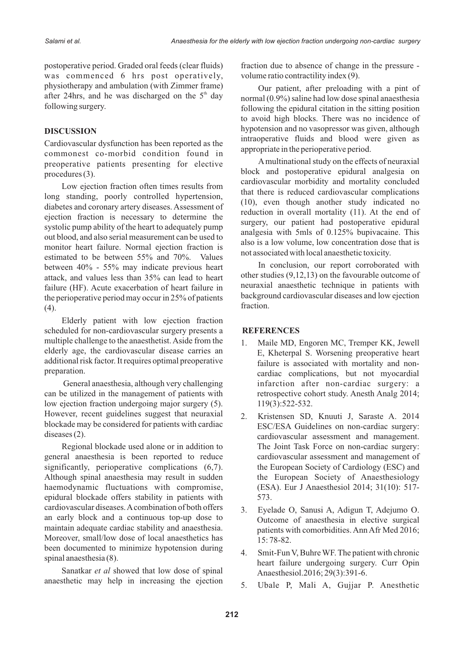was commenced 6 hrs post operatively, volume ratio contractility index (9). physiotherapy and ambulation (with Zimmer frame) Our patient, after preloading with a pint of after 24hrs, and he was discharged on the  $5<sup>th</sup>$  day normal (0.9%) saline had low dose spinal anaesthesia following surgery.

Cardiovascular dysfunction has been reported as the appropriate in the perioperative period.<br>
commonest co-morbid condition found in appropriate in the perioperative period.<br>
A multinational study on the effects of neuraxi preoperative patients presenting for elective

Low ejection fraction often times results from<br>
long standing, poorly controlled hypertension,<br>
diabetes and coronary artery diseases. Assessment of<br>
ejection fraction is necessary to determine the<br>
systolic pump ability o between 40% - 55% may indicate previous heart In conclusion, our report corroborated with attack and values less than 35% can lead to heart other studies (9,12,13) on the favourable outcome of attack, and values less than 35% can lead to heart other studies  $(9,12,13)$  on the favourable outcome of failure (HF). Acute exacerbation of heart failure in equal anaesthetic technique in patients with failure (HF). Acute exacerbation of heart failure in neuraxial anaesthetic technique in patients with the perioderative period may occur in 25% of patients background cardiovascular diseases and low ejection the perioperative period may occur in 25% of patients background  $(4)$ fraction. (4).

Elderly patient with low ejection fraction scheduled for non-cardiovascular surgery presents a **REFERENCES** multiple challenge to the anaesthetist. Aside from the 1. Maile MD, Engoren MC, Tremper KK, Jewell elderly age, the cardiovascular disease carries an F Kheternal S. Worsening preparative heart additional risk factor. It requires optimal preoperative failure is associated with mortality and non-<br>preparation.

can be utilized in the management of patients with retrospective cohort study. Anesth Analg 2014; low ejection fraction undergoing major surgery (5). 119(3):522-532. However, recent guidelines suggest that neuraxial 2. Kristensen SD, Knuuti J, Saraste A. 2014 blockade may be considered for patients with cardiac ESC/ESA Guidelines on non-cardiac surgery:<br>diseases (2).

general anaesthesia is been reported to reduce cardiovascular assessment and management of significantly, perioperative complications (6,7). the European Society of Cardiology (ESC) and Although spinal anaesthesia may result in sudden the European Society of Anaesthesiology haemodynamic fluctuations with compromise, (ESA). Eur J Anaesthesiol 2014; 31(10): 517epidural blockade offers stability in patients with 573. cardiovascular diseases. A combination of both offers 3. Eyelade O, Sanusi A, Adigun T, Adejumo O. an early block and a continuous top-up dose to Outcome of anaesthesia in elective surgical maintain adequate cardiac stability and anaesthesia. patients with comorbidities. Ann Afr Med 2016; Moreover, small/low dose of local anaesthetics has 15:78-82. been documented to minimize hypotension during 4. Smit-Fun V, Buhre WF. The patient with chronic spinal anaesthesia (8).  $\frac{1}{2}$  and  $\frac{1}{2}$  surgery. Curr Opin

Sanatkar *et al* showed that low dose of spinal Anaesthesiol.2016; 29(3):391-6. anaesthetic may help in increasing the ejection  $\overline{5}$ . Ubale P, Mali A, Gujjar P. Anesthetic

postoperative period. Graded oral feeds (clear fluids) fraction due to absence of change in the pressure -

following the epidural citation in the sitting position to avoid high blocks. There was no incidence of **DISCUSSION** hypotension and no vasopressor was given, although

procedures (3).<br> **block** and postoperative epidural analgesia on cardiovascular morbidity and mortality concluded

- E, Kheterpal S. Worsening preoperative heart cardiac complications, but not myocardial General anaesthesia, although very challenging infarction after non-cardiac surgery: a
- cardiovascular assessment and management. Regional blockade used alone or in addition to The Joint Task Force on non-cardiac surgery:
	-
	-
	-